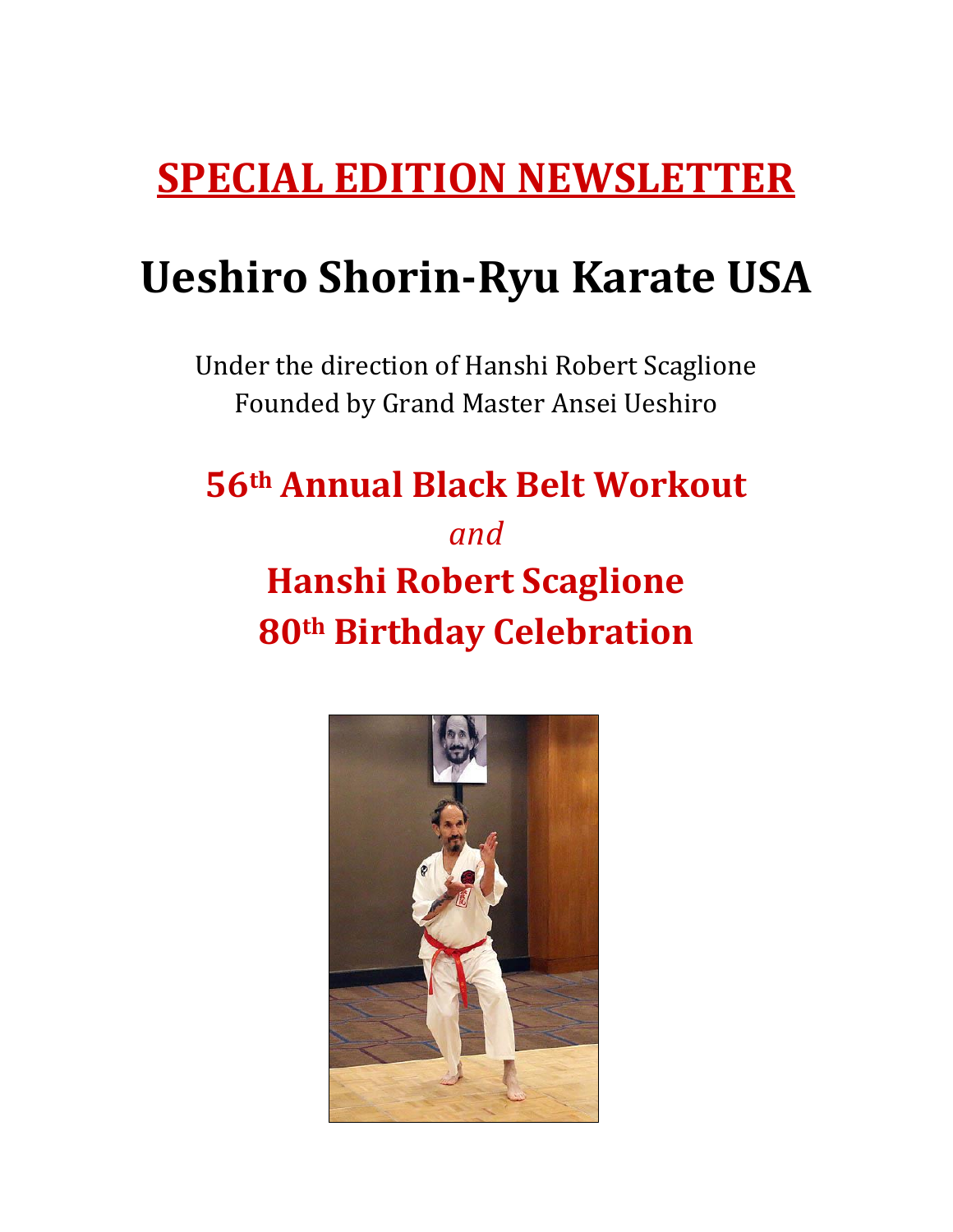# **SPECIAL EDITION NEWSLETTER**

# **Ueshiro Shorin-Ryu Karate USA**

Under the direction of Hanshi Robert Scaglione Founded by Grand Master Ansei Ueshiro

### **56th Annual Black Belt Workout**

## *and* **Hanshi Robert Scaglione 80th Birthday Celebration**

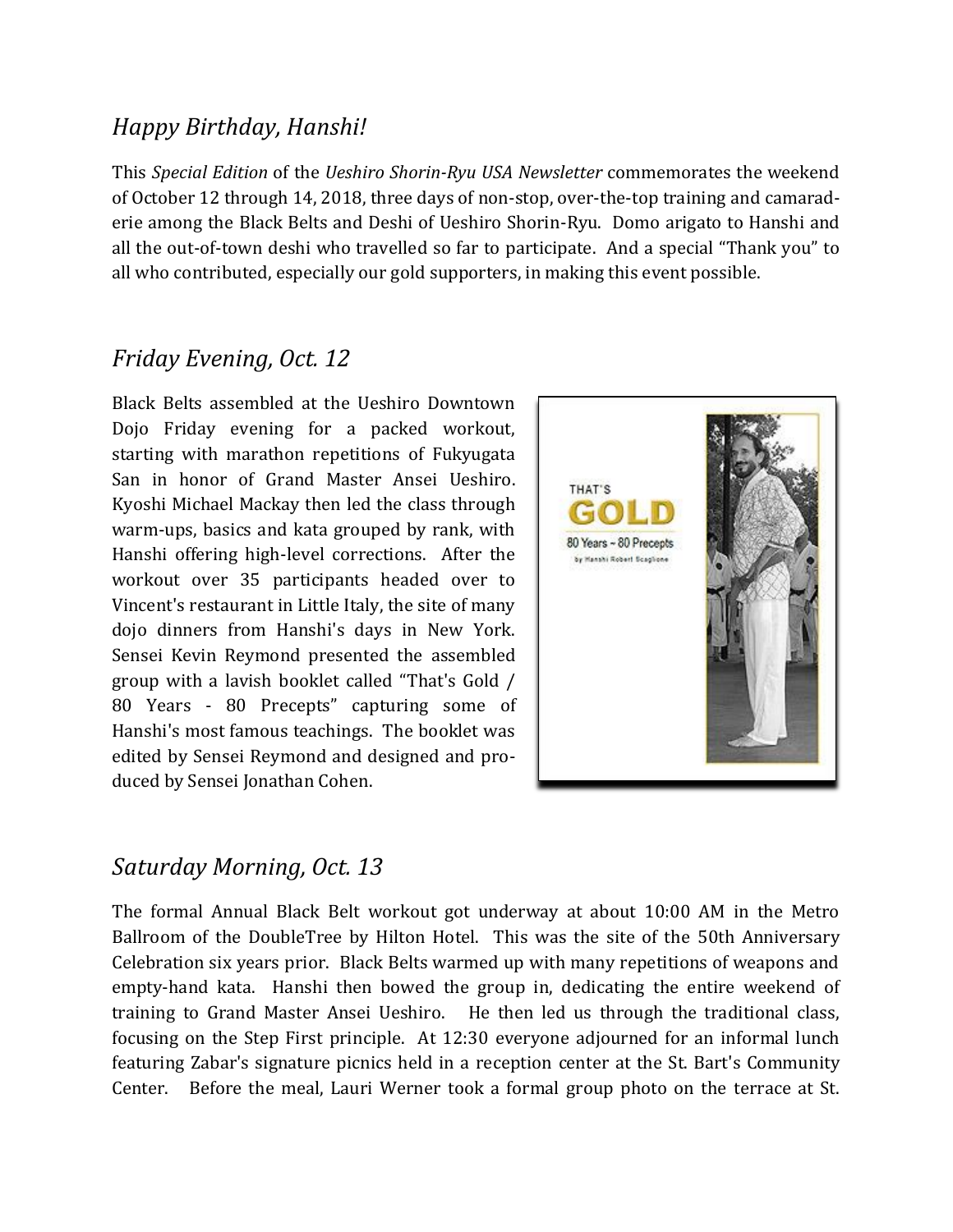#### *Happy Birthday, Hanshi!*

This *Special Edition* of the *Ueshiro Shorin-Ryu USA Newsletter* commemorates the weekend of October 12 through 14, 2018, three days of non-stop, over-the-top training and camaraderie among the Black Belts and Deshi of Ueshiro Shorin-Ryu. Domo arigato to Hanshi and all the out-of-town deshi who travelled so far to participate. And a special "Thank you" to all who contributed, especially our gold supporters, in making this event possible.

#### *Friday Evening, Oct. 12*

Black Belts assembled at the Ueshiro Downtown Dojo Friday evening for a packed workout, starting with marathon repetitions of Fukyugata San in honor of Grand Master Ansei Ueshiro. Kyoshi Michael Mackay then led the class through warm-ups, basics and kata grouped by rank, with Hanshi offering high-level corrections. After the workout over 35 participants headed over to Vincent's restaurant in Little Italy, the site of many dojo dinners from Hanshi's days in New York. Sensei Kevin Reymond presented the assembled group with a lavish booklet called "That's Gold / 80 Years - 80 Precepts" capturing some of Hanshi's most famous teachings. The booklet was edited by Sensei Reymond and designed and produced by Sensei Jonathan Cohen.



#### *Saturday Morning, Oct. 13*

The formal Annual Black Belt workout got underway at about 10:00 AM in the Metro Ballroom of the DoubleTree by Hilton Hotel. This was the site of the 50th Anniversary Celebration six years prior. Black Belts warmed up with many repetitions of weapons and empty-hand kata. Hanshi then bowed the group in, dedicating the entire weekend of training to Grand Master Ansei Ueshiro. He then led us through the traditional class, focusing on the Step First principle. At 12:30 everyone adjourned for an informal lunch featuring Zabar's signature picnics held in a reception center at the St. Bart's Community Center. Before the meal, Lauri Werner took a formal group photo on the terrace at St.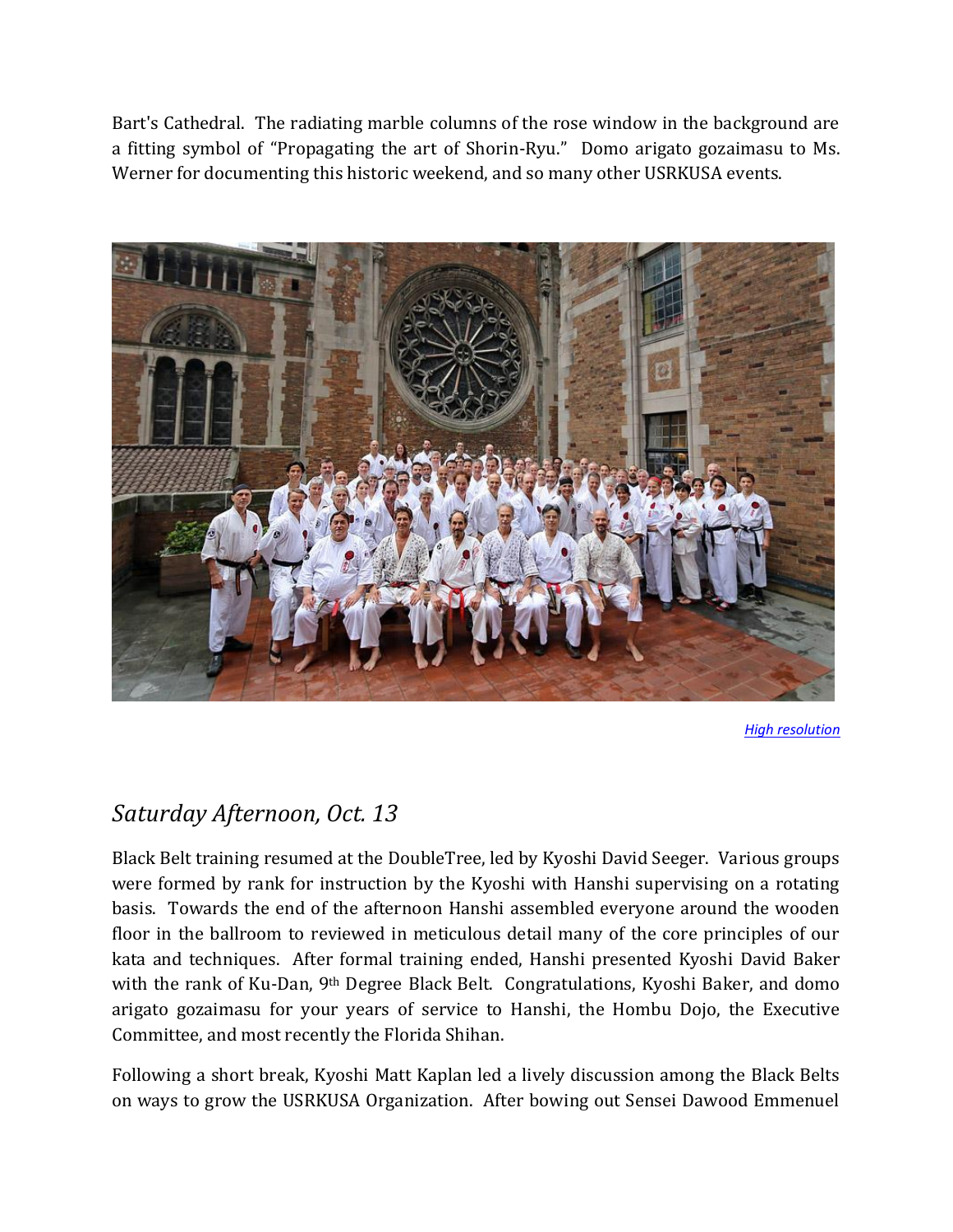Bart's Cathedral. The radiating marble columns of the rose window in the background are a fitting symbol of "Propagating the art of Shorin-Ryu." Domo arigato gozaimasu to Ms. Werner for documenting this historic weekend, and so many other USRKUSA events.



*[High resolution](http://www.midtownkaratedojo.com/images/PhotosGallery/2018BlackBeltGroup/SatGroupInformalHR.jpg)*

#### *Saturday Afternoon, Oct. 13*

Black Belt training resumed at the DoubleTree, led by Kyoshi David Seeger. Various groups were formed by rank for instruction by the Kyoshi with Hanshi supervising on a rotating basis. Towards the end of the afternoon Hanshi assembled everyone around the wooden floor in the ballroom to reviewed in meticulous detail many of the core principles of our kata and techniques. After formal training ended, Hanshi presented Kyoshi David Baker with the rank of Ku-Dan, 9th Degree Black Belt. Congratulations, Kyoshi Baker, and domo arigato gozaimasu for your years of service to Hanshi, the Hombu Dojo, the Executive Committee, and most recently the Florida Shihan.

Following a short break, Kyoshi Matt Kaplan led a lively discussion among the Black Belts on ways to grow the USRKUSA Organization. After bowing out Sensei Dawood Emmenuel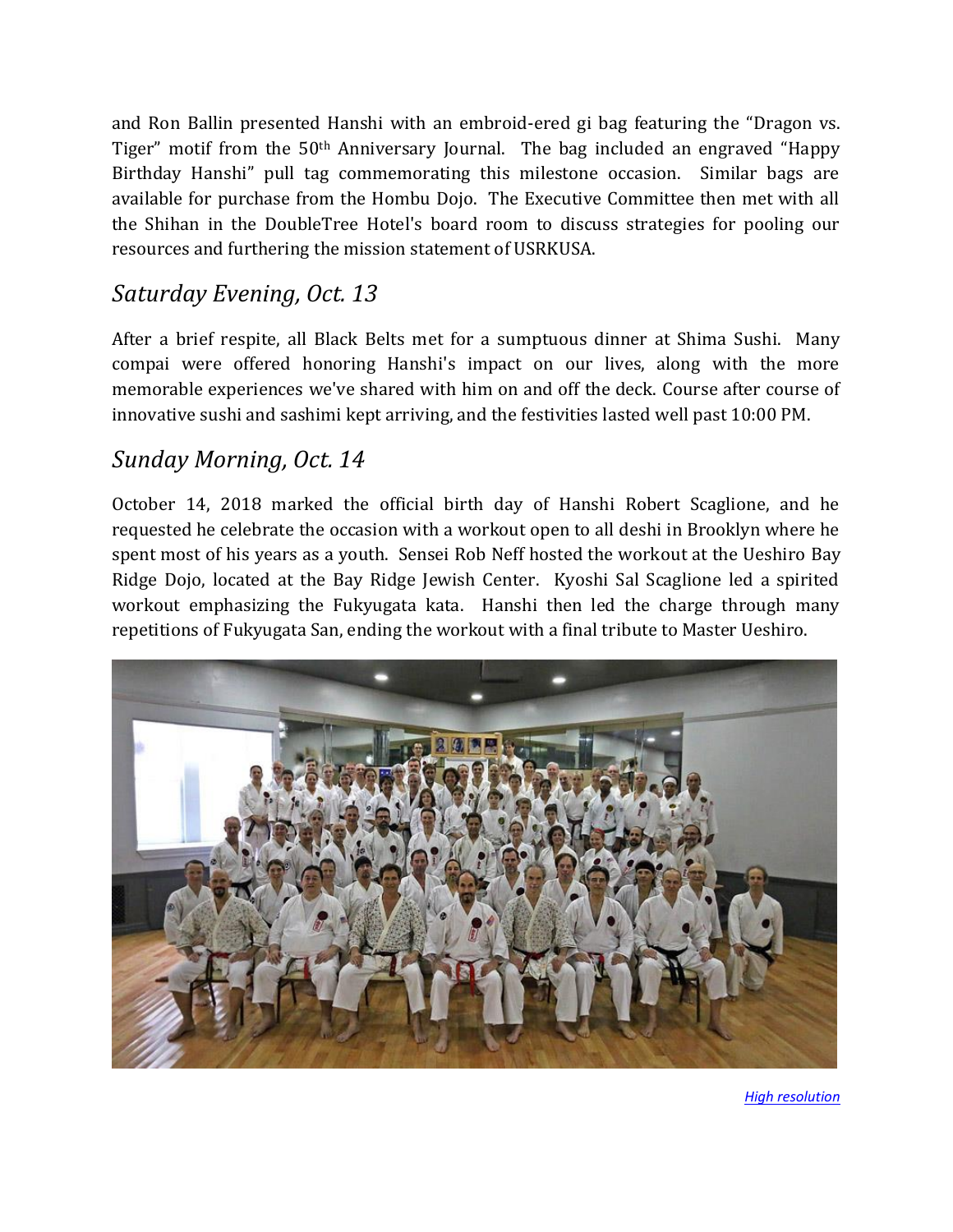and Ron Ballin presented Hanshi with an embroid-ered gi bag featuring the "Dragon vs. Tiger" motif from the 50th Anniversary Journal. The bag included an engraved "Happy Birthday Hanshi" pull tag commemorating this milestone occasion. Similar bags are available for purchase from the Hombu Dojo. The Executive Committee then met with all the Shihan in the DoubleTree Hotel's board room to discuss strategies for pooling our resources and furthering the mission statement of USRKUSA.

#### *Saturday Evening, Oct. 13*

After a brief respite, all Black Belts met for a sumptuous dinner at Shima Sushi. Many compai were offered honoring Hanshi's impact on our lives, along with the more memorable experiences we've shared with him on and off the deck. Course after course of innovative sushi and sashimi kept arriving, and the festivities lasted well past 10:00 PM.

#### *Sunday Morning, Oct. 14*

October 14, 2018 marked the official birth day of Hanshi Robert Scaglione, and he requested he celebrate the occasion with a workout open to all deshi in Brooklyn where he spent most of his years as a youth. Sensei Rob Neff hosted the workout at the Ueshiro Bay Ridge Dojo, located at the Bay Ridge Jewish Center. Kyoshi Sal Scaglione led a spirited workout emphasizing the Fukyugata kata. Hanshi then led the charge through many repetitions of Fukyugata San, ending the workout with a final tribute to Master Ueshiro.



*[High resolution](http://www.midtownkaratedojo.com/images/PhotosGallery/2018BlackBeltGroup/SunGroupFormalHR.jpg)*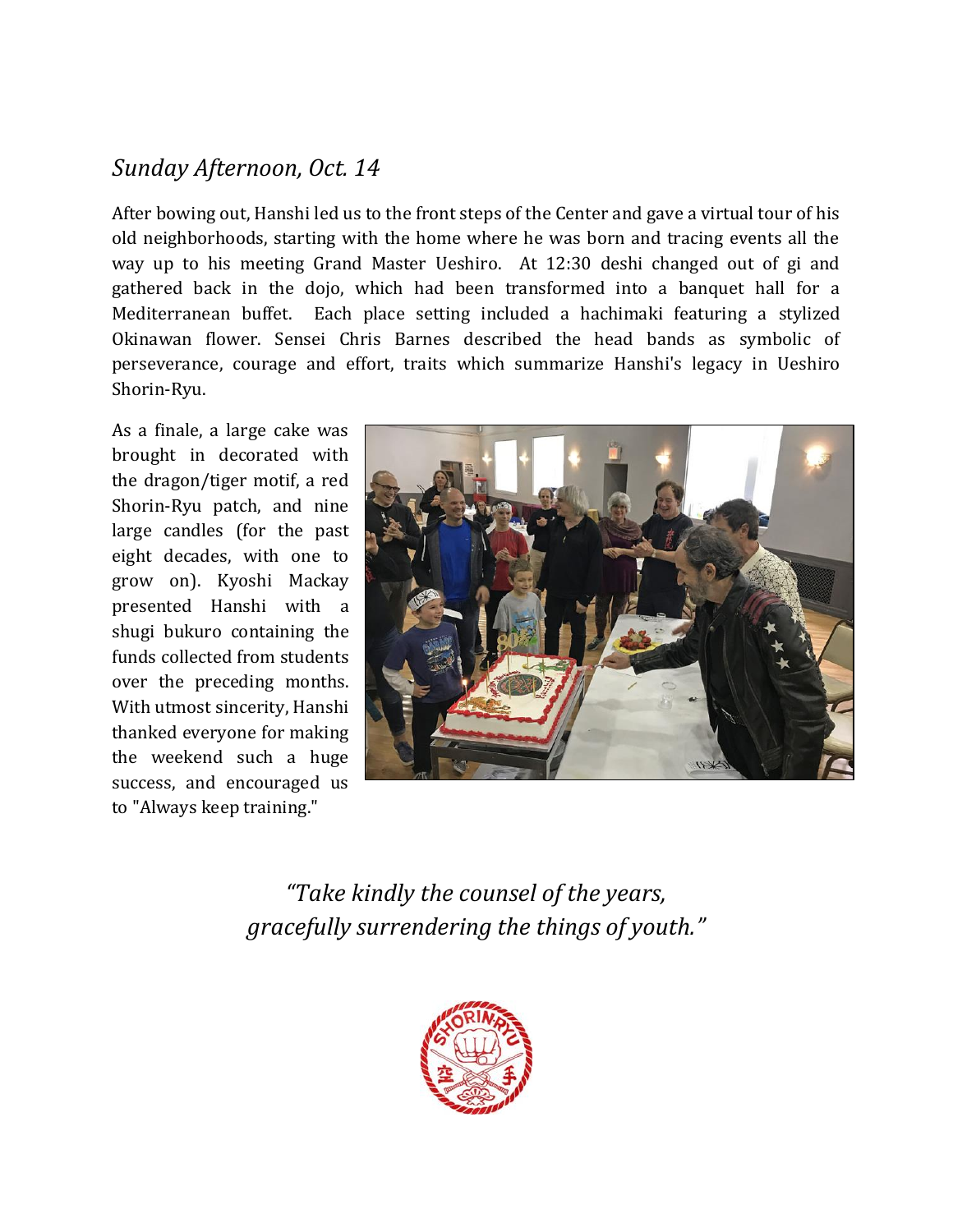#### *Sunday Afternoon, Oct. 14*

After bowing out, Hanshi led us to the front steps of the Center and gave a virtual tour of his old neighborhoods, starting with the home where he was born and tracing events all the way up to his meeting Grand Master Ueshiro. At 12:30 deshi changed out of gi and gathered back in the dojo, which had been transformed into a banquet hall for a Mediterranean buffet. Each place setting included a hachimaki featuring a stylized Okinawan flower. Sensei Chris Barnes described the head bands as symbolic of perseverance, courage and effort, traits which summarize Hanshi's legacy in Ueshiro Shorin-Ryu.

As a finale, a large cake was brought in decorated with the dragon/tiger motif, a red Shorin-Ryu patch, and nine large candles (for the past eight decades, with one to grow on). Kyoshi Mackay presented Hanshi with a shugi bukuro containing the funds collected from students over the preceding months. With utmost sincerity, Hanshi thanked everyone for making the weekend such a huge success, and encouraged us to "Always keep training."



*"Take kindly the counsel of the years, gracefully surrendering the things of youth."*